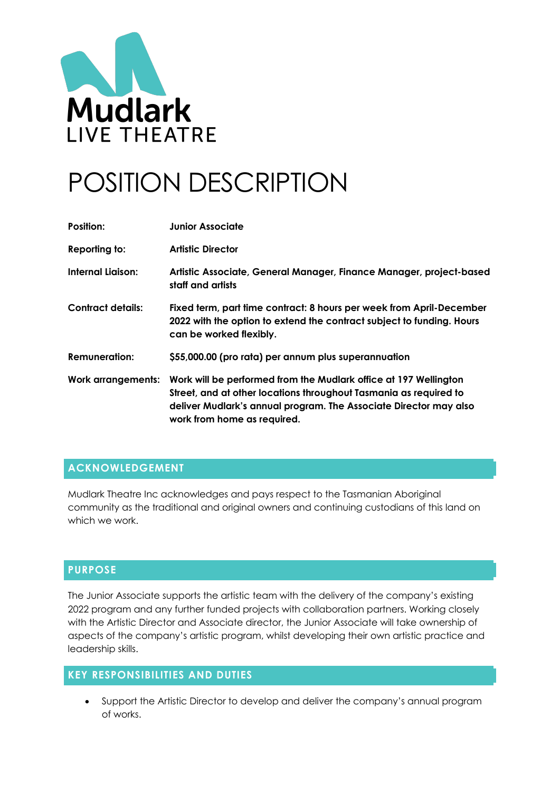

# POSITION DESCRIPTION

| Position:                 | <b>Junior Associate</b>                                                                                                                                                                                                                   |
|---------------------------|-------------------------------------------------------------------------------------------------------------------------------------------------------------------------------------------------------------------------------------------|
| Reporting to:             | <b>Artistic Director</b>                                                                                                                                                                                                                  |
| <b>Internal Liaison:</b>  | Artistic Associate, General Manager, Finance Manager, project-based<br>staff and artists                                                                                                                                                  |
| <b>Contract details:</b>  | Fixed term, part time contract: 8 hours per week from April-December<br>2022 with the option to extend the contract subject to funding. Hours<br>can be worked flexibly.                                                                  |
| <b>Remuneration:</b>      | \$55,000.00 (pro rata) per annum plus superannuation                                                                                                                                                                                      |
| <b>Work arrangements:</b> | Work will be performed from the Mudlark office at 197 Wellington<br>Street, and at other locations throughout Tasmania as required to<br>deliver Mudlark's annual program. The Associate Director may also<br>work from home as required. |

## **ACKNOWLEDGEMENT**

Mudlark Theatre Inc acknowledges and pays respect to the Tasmanian Aboriginal community as the traditional and original owners and continuing custodians of this land on which we work.

### **PURPOSE**

The Junior Associate supports the artistic team with the delivery of the company's existing 2022 program and any further funded projects with collaboration partners. Working closely with the Artistic Director and Associate director, the Junior Associate will take ownership of aspects of the company's artistic program, whilst developing their own artistic practice and leadership skills.

# **KEY RESPONSIBILITIES AND DUTIES**

• Support the Artistic Director to develop and deliver the company's annual program of works.